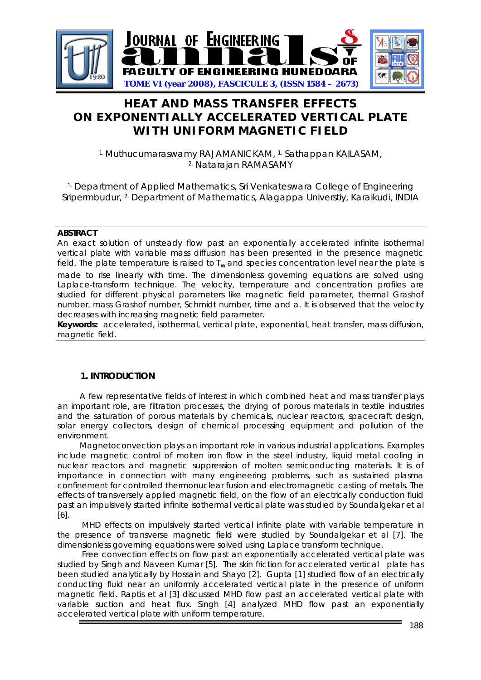

# **HEAT AND MASS TRANSFER EFFECTS ON EXPONENTIALLY ACCELERATED VERTICAL PLATE WITH UNIFORM MAGNETIC FIELD**

1. Muthucumaraswamy RAJAMANICKAM, 1. Sathappan KAILASAM, 2. Natarajan RAMASAMY

<sup>1.</sup> Department of Applied Mathematics, Sri Venkateswara College of Engineering Sripermbudur, <sup>2.</sup> Department of Mathematics, Alagappa Universtiy, Karaikudi, INDIA

#### **ABSTRACT**

An exact solution of unsteady flow past an exponentially accelerated infinite isothermal vertical plate with variable mass diffusion has been presented in the presence magnetic field. The plate temperature is raised to  $T_w$  and species concentration level near the plate is made to rise linearly with time. The dimensionless governing equations are solved using Laplace-transform technique. The velocity, temperature and concentration profiles are studied for different physical parameters like magnetic field parameter, thermal Grashof number, mass Grashof number, Schmidt number, time and a. It is observed that the velocity decreases with increasing magnetic field parameter.

**Keywords:** accelerated, isothermal, vertical plate, exponential, heat transfer, mass diffusion, magnetic field.

### **1. INTRODUCTION**

 A few representative fields of interest in which combined heat and mass transfer plays an important role, are filtration processes, the drying of porous materials in textile industries and the saturation of porous materials by chemicals, nuclear reactors, spacecraft design, solar energy collectors, design of chemical processing equipment and pollution of the environment.

 Magnetoconvection plays an important role in various industrial applications. Examples include magnetic control of molten iron flow in the steel industry, liquid metal cooling in nuclear reactors and magnetic suppression of molten semiconducting materials. It is of importance in connection with many engineering problems, such as sustained plasma confinement for controlled thermonuclear fusion and electromagnetic casting of metals. The effects of transversely applied magnetic field, on the flow of an electrically conduction fluid past an impulsively started infinite isothermal vertical plate was studied by Soundalgekar *et al*  [6].

 MHD effects on impulsively started vertical infinite plate with variable temperature in the presence of transverse magnetic field were studied by Soundalgekar *et al* [7]. The dimensionless governing equations were solved using Laplace transform technique.

 Free convection effects on flow past an exponentially accelerated vertical plate was studied by Singh and Naveen Kumar [5]. The skin friction for accelerated vertical plate has been studied analytically by Hossain and Shayo [2]. Gupta [1] studied flow of an electrically conducting fluid near an uniformly accelerated vertical plate in the presence of uniform magnetic field. Raptis *et al* [3] discussed MHD flow past an accelerated vertical plate with variable suction and heat flux. Singh [4] analyzed MHD flow past an exponentially accelerated vertical plate with uniform temperature.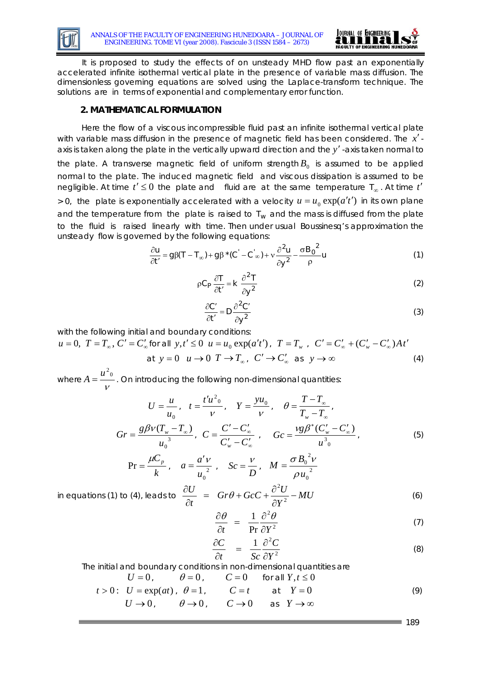



 It is proposed to study the effects of on unsteady MHD flow past an exponentially accelerated infinite isothermal vertical plate in the presence of variable mass diffusion. The dimensionless governing equations are solved using the Laplace-transform technique. The solutions are in terms of exponential and complementary error function.

## **2. MATHEMATICAL FORMULATION**

 Here the flow of a viscous incompressible fluid past an infinite isothermal vertical plate with variable mass diffusion in the presence of magnetic field has been considered. The *x*′ axis is taken along the plate in the vertically upward direction and the *y*′ -axis taken normal to the plate. A transverse magnetic field of uniform strength  $B_0$  is assumed to be applied normal to the plate. The induced magnetic field and viscous dissipation is assumed to be negligible. At time  $t' \leq 0$  the plate and fluid are at the same temperature  $T_{\infty}$ . At time  $t'$  $> 0$ , the plate is exponentially accelerated with a velocity  $u = u_0 \exp(a' t')$  in its own plane and the temperature from the plate is raised to  $T_w$  and the mass is diffused from the plate to the fluid is raised linearly with time. Then under usual Boussinesq's approximation the unsteady flow is governed by the following equations:

$$
\frac{\partial u}{\partial t'} = g\beta (T - T_{\infty}) + g\beta^* (C' - C'_{\infty}) + v \frac{\partial^2 u}{\partial y^2} - \frac{\sigma B_0^2}{\rho} u \tag{1}
$$

$$
\rho C_P \frac{\partial T}{\partial t'} = k \frac{\partial^2 T}{\partial y^2}
$$
 (2)

$$
\frac{\partial C'}{\partial t'} = D \frac{\partial^2 C'}{\partial y^2}
$$
 (3)

with the following initial and boundary conditions:

$$
u = 0, T = T_{\infty}, C' = C'_{\infty} \text{ for all } y, t' \le 0 \quad u = u_0 \exp(a't'), T = T_{w} , C' = C'_{\infty} + (C'_{w} - C'_{\infty})At'
$$
  
at  $y = 0 \quad u \to 0 \quad T \to T_{\infty}, C' \to C'_{\infty} \text{ as } y \to \infty$  (4)

where  $A=\frac{v}{v}$  $A = \frac{u^2{}_{0}}{u}$  . On introducing the following non-dimensional quantities:

$$
U = \frac{u}{u_0}, \quad t = \frac{t'u^2_0}{v}, \quad Y = \frac{yu_0}{v}, \quad \theta = \frac{T - T_{\infty}}{T_w - T_{\infty}},
$$

$$
Gr = \frac{g\beta v(T_w - T_{\infty})}{u_0^3}, \quad C = \frac{C' - C'_{\infty}}{C'_w - C'_{\infty}}, \quad Gc = \frac{vg\beta^*(C'_w - C'_{\infty})}{u^3_0}, \tag{5}
$$

$$
\Pr = \frac{\mu C_p}{k}, \quad a = \frac{a'v}{u_0^2}, \quad Sc = \frac{v}{D}, \quad M = \frac{\sigma B_0^2 v}{\rho u_0^2}
$$

in equations (1) to (4), leads to 
$$
\frac{\partial U}{\partial t} = Gr\theta + GcC + \frac{\partial^2 U}{\partial Y^2} - MU
$$
 (6)

$$
\frac{\partial \theta}{\partial t} = \frac{1}{\text{Pr}} \frac{\partial^2 \theta}{\partial Y^2}
$$
(7)

$$
\frac{\partial C}{\partial t} = \frac{1}{Sc} \frac{\partial^2 C}{\partial Y^2}
$$
(8)

The initial and boundary conditions in non-dimensional quantities are

$$
U = 0, \qquad \theta = 0, \qquad C = 0 \qquad \text{for all } Y, t \le 0
$$
  

$$
t > 0: \quad U = \exp(at), \quad \theta = 1, \qquad C = t \qquad \text{at } Y = 0
$$
  

$$
U \rightarrow 0, \qquad \theta \rightarrow 0, \qquad C \rightarrow 0 \qquad \text{as } Y \rightarrow \infty
$$
  
(9)

 $= 189$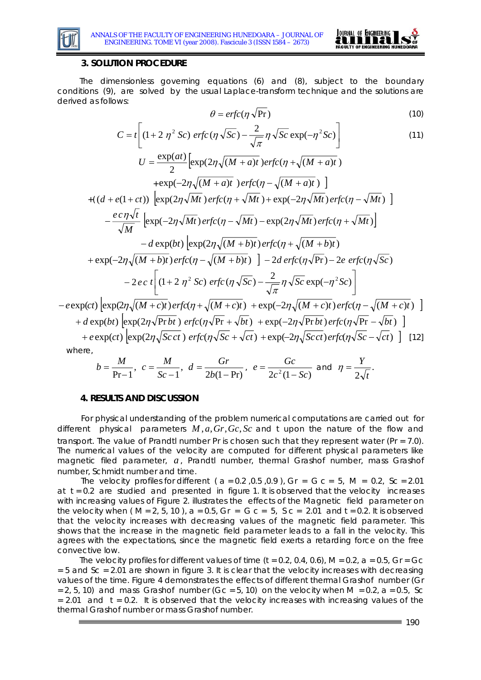



#### **3. SOLUTION PROCEDURE**

 The dimensionless governing equations (6) and (8), subject to the boundary conditions (9), are solved by the usual Laplace-transform technique and the solutions are derived as follows:

$$
\theta = \text{erfc}(\eta \sqrt{\text{Pr}})
$$
\n(10)

$$
C = t \left[ (1 + 2 \eta^2 Sc) \, erfc(\eta \sqrt{Sc}) - \frac{2}{\sqrt{\pi}} \eta \sqrt{Sc} \exp(-\eta^2 Sc) \right] \tag{11}
$$

$$
U = \frac{\exp(at)}{2} \left[ \exp(2\eta \sqrt{(M+a)t}) \right] \text{erfc}(\eta + \sqrt{(M+a)t})
$$
  
+  $\exp(-2\eta \sqrt{(M+a)t}) \left[ \exp(2\eta \sqrt{Mt}) \right] + ((d+e(1+ct)) \left[ \exp(2\eta \sqrt{Mt}) \right] \text{erfc}(\eta + \sqrt{Mt}) + \exp(-2\eta \sqrt{Mt}) \left[ \text{erfc}(\eta - \sqrt{Mt}) \right] \right]$   
-  $\frac{e \cdot c \eta \sqrt{t}}{\sqrt{M}} \left[ \exp(-2\eta \sqrt{Mt}) \text{erfc}(\eta - \sqrt{Mt}) - \exp(2\eta \sqrt{Mt}) \text{erfc}(\eta + \sqrt{Mt}) \right]$   
-  $d \exp(bt) \left[ \exp(2\eta \sqrt{(M+b)t}) \text{erfc}(\eta + \sqrt{(M+b)t}) \right]$   
+  $\exp(-2\eta \sqrt{(M+b)t}) \text{erfc}(\eta - \sqrt{(M+b)t}) \right] - 2d \exp(c(\eta \sqrt{\text{Pr}}) - 2e \text{erfc}(\eta \sqrt{\text{Sc}}))$   
-  $2e \cdot t \left[ (1+2 \eta^2 \text{Sc}) \text{erfc}(\eta \sqrt{\text{Sc}}) - \frac{2}{\sqrt{\pi}} \eta \sqrt{\text{Sc}} \exp(-\eta^2 \text{Sc}) \right]$ 

 $-e\exp(ct)\left[\exp(2\eta\sqrt{(M+c)t})erfc(\eta+\sqrt{(M+c)t})+\exp(-2\eta\sqrt{(M+c)t})erfc(\eta-\sqrt{(M+c)t})\right]$ +  $d \exp(bt) \left[ \exp(2\eta \sqrt{\text{Pr} bt}) \, \text{erfc}(\eta \sqrt{\text{Pr}} + \sqrt{bt}) + \exp(-2\eta \sqrt{\text{Pr} bt}) \, \text{erfc}(\eta \sqrt{\text{Pr}} - \sqrt{bt}) \, \right]$  $+ e \exp(ct) \left[ \exp(2\eta \sqrt{Scct}) e \frac{rfc(\eta \sqrt{Sc} + \sqrt{ct}) + \exp(-2\eta \sqrt{Scct}) e \frac{rfc(\eta \sqrt{Sc} - \sqrt{ct})}{12} \right]$  [12]

where,

$$
b = \frac{M}{Pr-1}
$$
,  $c = \frac{M}{Sc-1}$ ,  $d = \frac{Gr}{2b(1-Pr)}$ ,  $e = \frac{Gc}{2c^2(1-Sc)}$  and  $\eta = \frac{Y}{2\sqrt{t}}$ .

#### **4. RESULTS AND DISCUSSION**

For physical understanding of the problem numerical computations are carried out for different physical parameters  $M$ ,  $a$ ,  $Gr$ ,  $Gc$ ,  $Sc$  and  $t$  upon the nature of the flow and transport. The value of Prandtl number *Pr* is chosen such that they represent water (*Pr* = 7.0). The numerical values of the velocity are computed for different physical parameters like magnetic filed parameter,  $a$ , Prandtl number, thermal Grashof number, mass Grashof number, Schmidt number and time.

The velocity profiles for different ( *a =* 0.2 *,*0.5 ,0.9 ), *Gr = G c =* 5, *M =* 0.2, *Sc* = 2.01 at  $t = 0.2$  are studied and presented in figure 1. It is observed that the velocity increases with increasing values of Figure 2. illustrates the effects of the Magnetic field parameter on the velocity when ( *M* = 2, 5, 10 ), *a* = 0.5, *Gr* = *G c* = 5, *S c* = 2.01 and *t* = 0.2. It is observed that the velocity increases with decreasing values of the magnetic field parameter. This shows that the increase in the magnetic field parameter leads to a fall in the velocity. This agrees with the expectations, since the magnetic field exerts a retarding force on the free convective low.

 The velocity profiles for different values of time (*t* = 0.2, 0.4, 0.6), *M* = 0.2, *a* = 0.5, *Gr* = *Gc* = 5 and *Sc* = 2.01 are shown in figure 3. It is clear that the velocity increases with decreasing values of the time. Figure 4 demonstrates the effects of different thermal Grashof number (*Gr*  = 2, 5, 10) and mass Grashof number ( $Gc = 5$ , 10) on the velocity when  $M = 0.2$ ,  $a = 0.5$ , *Sc*  $= 2.01$  and  $t = 0.2$ . It is observed that the velocity increases with increasing values of the thermal Grashof number or mass Grashof number.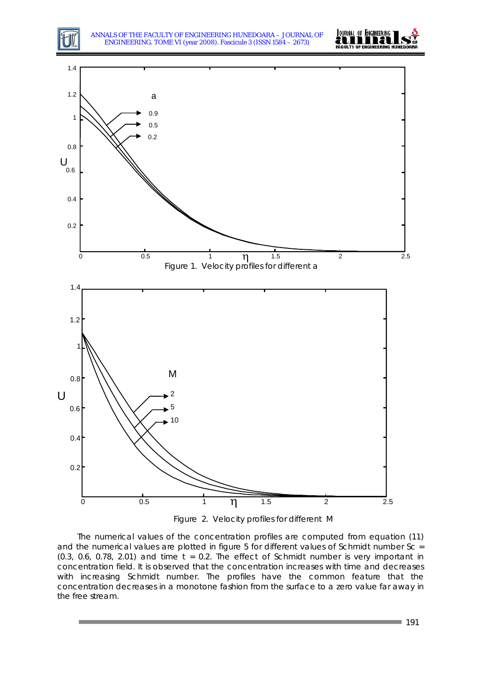ANNALS OF THE FACULTY OF ENGINEERING HUNEDOARA – JOURNAL OF ENGINEERING. TOME VI (year 2008). Fascicule 3 (ISSN 1584 – 2673)







 The numerical values of the concentration profiles are computed from equation (11) and the numerical values are plotted in figure 5 for different values of Schmidt number *Sc* = (0.3, 0.6, 0.78, 2.01) and time  $t = 0.2$ . The effect of Schmidt number is very important in concentration field. It is observed that the concentration increases with time and decreases with increasing Schmidt number. The profiles have the common feature that the concentration decreases in a monotone fashion from the surface to a zero value far away in the free stream.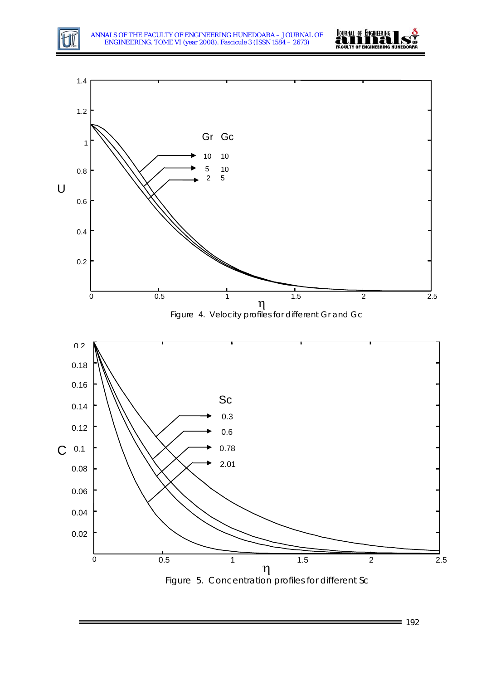





 $= 192$